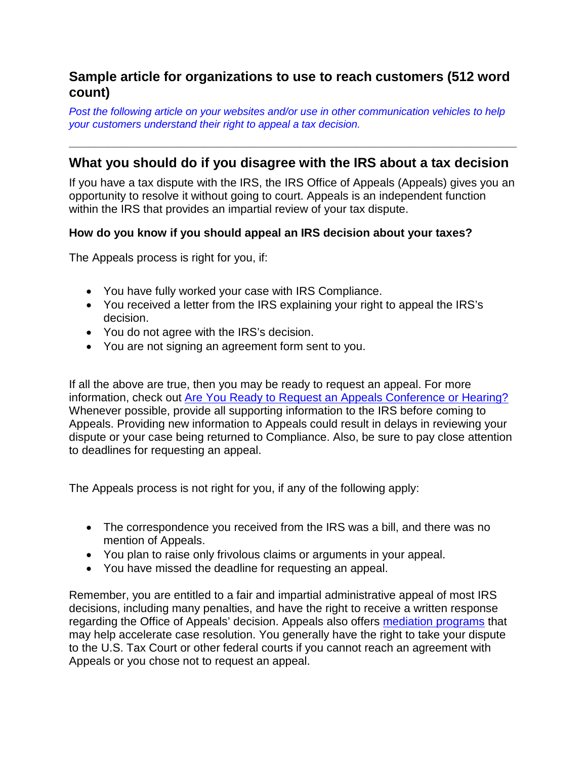## **Sample article for organizations to use to reach customers (512 word count)**

*Post the following article on your websites and/or use in other communication vehicles to help your customers understand their right to appeal a tax decision.*

## **What you should do if you disagree with the IRS about a tax decision**

**\_\_\_\_\_\_\_\_\_\_\_\_\_\_\_\_\_\_\_\_\_\_\_\_\_\_\_\_\_\_\_\_\_\_\_\_\_\_\_\_\_\_\_\_\_\_\_\_\_\_\_\_\_\_\_\_\_\_\_\_\_\_\_\_\_\_\_\_\_\_**

If you have a tax dispute with the IRS, the IRS Office of Appeals (Appeals) gives you an opportunity to resolve it without going to court. Appeals is an independent function within the IRS that provides an impartial review of your tax dispute.

## **How do you know if you should appeal an IRS decision about your taxes?**

The Appeals process is right for you, if:

- You have fully worked your case with IRS Compliance.
- You received a letter from the IRS explaining your right to appeal the IRS's decision.
- You do not agree with the IRS's decision.
- You are not signing an agreement form sent to you.

If all the above are true, then you may be ready to request an appeal. For more information, check out [Are You Ready to Request an Appeals Conference or Hearing?](https://www.irs.gov/individuals/are-you-ready-to-request-an-appeals-conference-or-hearing) Whenever possible, provide all supporting information to the IRS before coming to Appeals. Providing new information to Appeals could result in delays in reviewing your dispute or your case being returned to Compliance. Also, be sure to pay close attention to deadlines for requesting an appeal.

The Appeals process is not right for you, if any of the following apply:

- The correspondence you received from the IRS was a bill, and there was no mention of Appeals.
- You plan to raise only frivolous claims or arguments in your appeal.
- You have missed the deadline for requesting an appeal.

Remember, you are entitled to a fair and impartial administrative appeal of most IRS decisions, including many penalties, and have the right to receive a written response regarding the Office of Appeals' decision. Appeals also offers [mediation programs](https://www.irs.gov/individuals/appeals-mediation-programs) that may help accelerate case resolution. You generally have the right to take your dispute to the U.S. Tax Court or other federal courts if you cannot reach an agreement with Appeals or you chose not to request an appeal.